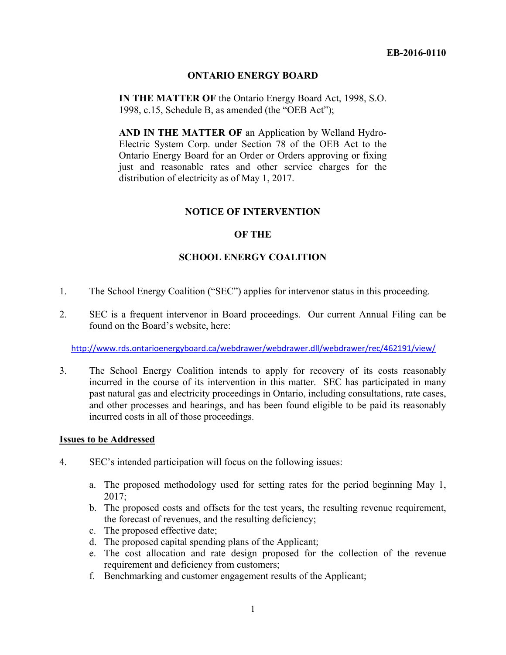# **ONTARIO ENERGY BOARD**

**IN THE MATTER OF** the Ontario Energy Board Act, 1998, S.O. 1998, c.15, Schedule B, as amended (the "OEB Act");

**AND IN THE MATTER OF** an Application by Welland Hydro-Electric System Corp. under Section 78 of the OEB Act to the Ontario Energy Board for an Order or Orders approving or fixing just and reasonable rates and other service charges for the distribution of electricity as of May 1, 2017.

# **NOTICE OF INTERVENTION**

# **OF THE**

# **SCHOOL ENERGY COALITION**

- 1. The School Energy Coalition ("SEC") applies for intervenor status in this proceeding.
- 2. SEC is a frequent intervenor in Board proceedings. Our current Annual Filing can be found on the Board's website, here:

http://www.rds.ontarioenergyboard.ca/webdrawer/webdrawer.dll/webdrawer/rec/462191/view/

3. The School Energy Coalition intends to apply for recovery of its costs reasonably incurred in the course of its intervention in this matter. SEC has participated in many past natural gas and electricity proceedings in Ontario, including consultations, rate cases, and other processes and hearings, and has been found eligible to be paid its reasonably incurred costs in all of those proceedings.

#### **Issues to be Addressed**

- 4. SEC's intended participation will focus on the following issues:
	- a. The proposed methodology used for setting rates for the period beginning May 1, 2017;
	- b. The proposed costs and offsets for the test years, the resulting revenue requirement, the forecast of revenues, and the resulting deficiency;
	- c. The proposed effective date;
	- d. The proposed capital spending plans of the Applicant;
	- e. The cost allocation and rate design proposed for the collection of the revenue requirement and deficiency from customers;
	- f. Benchmarking and customer engagement results of the Applicant;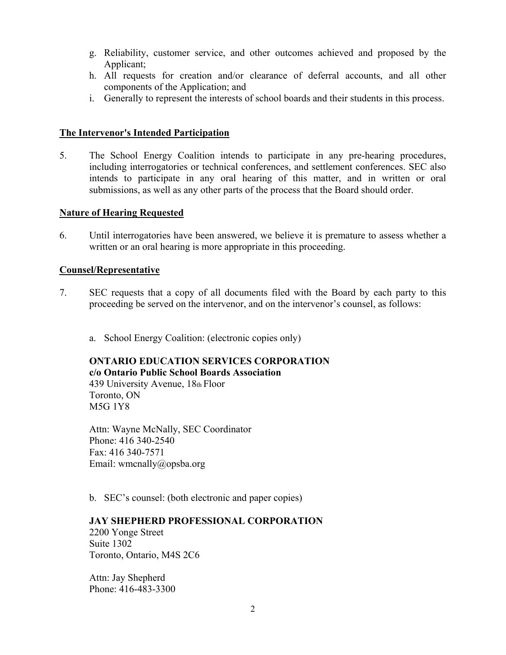- g. Reliability, customer service, and other outcomes achieved and proposed by the Applicant;
- h. All requests for creation and/or clearance of deferral accounts, and all other components of the Application; and
- i. Generally to represent the interests of school boards and their students in this process.

# **The Intervenor's Intended Participation**

5. The School Energy Coalition intends to participate in any pre-hearing procedures, including interrogatories or technical conferences, and settlement conferences. SEC also intends to participate in any oral hearing of this matter, and in written or oral submissions, as well as any other parts of the process that the Board should order.

# **Nature of Hearing Requested**

6. Until interrogatories have been answered, we believe it is premature to assess whether a written or an oral hearing is more appropriate in this proceeding.

# **Counsel/Representative**

- 7. SEC requests that a copy of all documents filed with the Board by each party to this proceeding be served on the intervenor, and on the intervenor's counsel, as follows:
	- a. School Energy Coalition: (electronic copies only)

# **ONTARIO EDUCATION SERVICES CORPORATION**

**c/o Ontario Public School Boards Association**  439 University Avenue, 18th Floor Toronto, ON M5G 1Y8

Attn: Wayne McNally, SEC Coordinator Phone: 416 340-2540 Fax: 416 340-7571 Email: wmcnally@opsba.org

b. SEC's counsel: (both electronic and paper copies)

# **JAY SHEPHERD PROFESSIONAL CORPORATION**

2200 Yonge Street Suite 1302 Toronto, Ontario, M4S 2C6

Attn: Jay Shepherd Phone: 416-483-3300